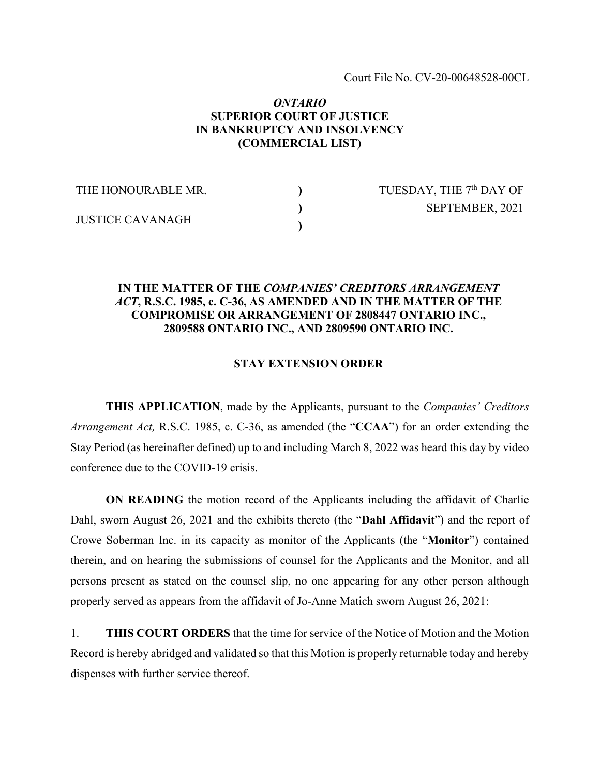## *ONTARIO* **SUPERIOR COURT OF JUSTICE IN BANKRUPTCY AND INSOLVENCY (COMMERCIAL LIST)**

| THE HONOURABLE MR.      | TUESDAY, THE 7 <sup>th</sup> DAY OF |
|-------------------------|-------------------------------------|
| <b>JUSTICE CAVANAGH</b> | SEPTEMBER, 2021                     |
|                         |                                     |

## **IN THE MATTER OF THE** *COMPANIES' CREDITORS ARRANGEMENT ACT***, R.S.C. 1985, c. C-36, AS AMENDED AND IN THE MATTER OF THE COMPROMISE OR ARRANGEMENT OF 2808447 ONTARIO INC., 2809588 ONTARIO INC., AND 2809590 ONTARIO INC.**

## **STAY EXTENSION ORDER**

**THIS APPLICATION**, made by the Applicants, pursuant to the *Companies' Creditors Arrangement Act,* R.S.C. 1985, c. C-36, as amended (the "**CCAA**") for an order extending the Stay Period (as hereinafter defined) up to and including March 8, 2022 was heard this day by video conference due to the COVID-19 crisis.

**ON READING** the motion record of the Applicants including the affidavit of Charlie Dahl, sworn August 26, 2021 and the exhibits thereto (the "**Dahl Affidavit**") and the report of Crowe Soberman Inc. in its capacity as monitor of the Applicants (the "**Monitor**") contained therein, and on hearing the submissions of counsel for the Applicants and the Monitor, and all persons present as stated on the counsel slip, no one appearing for any other person although properly served as appears from the affidavit of Jo-Anne Matich sworn August 26, 2021:

1. **THIS COURT ORDERS** that the time for service of the Notice of Motion and the Motion Record is hereby abridged and validated so that this Motion is properly returnable today and hereby dispenses with further service thereof.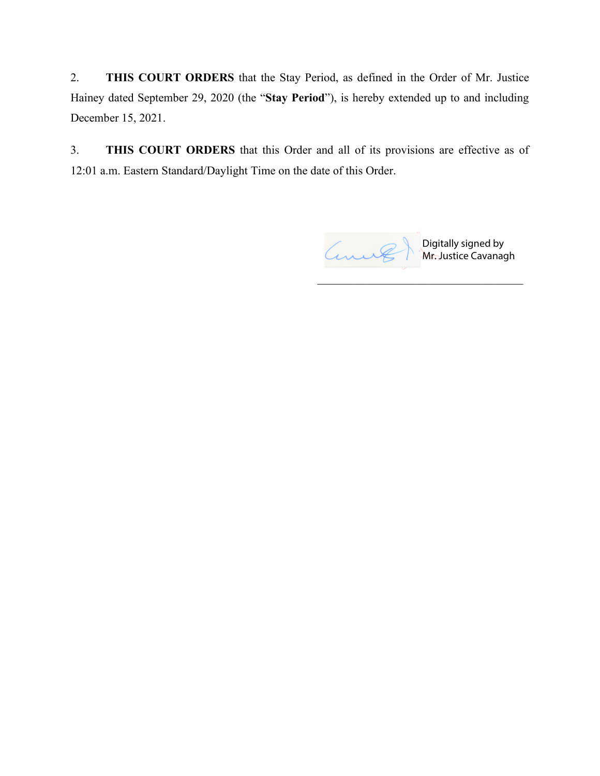2. **THIS COURT ORDERS** that the Stay Period, as defined in the Order of Mr. Justice Hainey dated September 29, 2020 (the "**Stay Period**"), is hereby extended up to and including December 15, 2021.

3. **THIS COURT ORDERS** that this Order and all of its provisions are effective as of 12:01 a.m. Eastern Standard/Daylight Time on the date of this Order.



 $\overline{\mathcal{L}}$  , and the set of the set of the set of the set of the set of the set of the set of the set of the set of the set of the set of the set of the set of the set of the set of the set of the set of the set of the s

Digitally signed by Mr. Justice Cavanagh